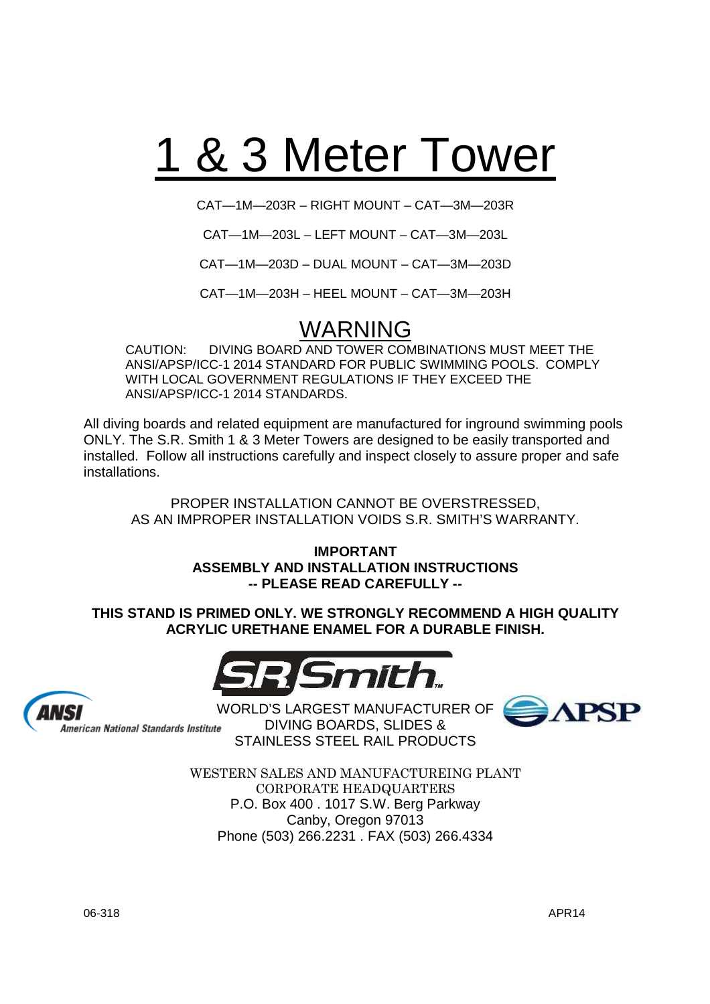# 1 & 3 Meter Tower

CAT—1M—203R – RIGHT MOUNT – CAT—3M—203R

CAT—1M—203L – LEFT MOUNT – CAT—3M—203L

CAT—1M—203D – DUAL MOUNT – CAT—3M—203D

CAT—1M—203H – HEEL MOUNT – CAT—3M—203H

### WARNING

CAUTION: DIVING BOARD AND TOWER COMBINATIONS MUST MEET THE ANSI/APSP/ICC-1 2014 STANDARD FOR PUBLIC SWIMMING POOLS. COMPLY WITH LOCAL GOVERNMENT REGULATIONS IF THEY EXCEED THE ANSI/APSP/ICC-1 2014 STANDARDS.

All diving boards and related equipment are manufactured for inground swimming pools ONLY. The S.R. Smith 1 & 3 Meter Towers are designed to be easily transported and installed. Follow all instructions carefully and inspect closely to assure proper and safe installations.

PROPER INSTALLATION CANNOT BE OVERSTRESSED, AS AN IMPROPER INSTALLATION VOIDS S.R. SMITH'S WARRANTY.

> **IMPORTANT ASSEMBLY AND INSTALLATION INSTRUCTIONS -- PLEASE READ CAREFULLY --**

**THIS STAND IS PRIMED ONLY. WE STRONGLY RECOMMEND A HIGH QUALITY ACRYLIC URETHANE ENAMEL FOR A DURABLE FINISH.**





American National Standards Institute

WORLD'S LARGEST MANUFACTURER OF **APSP** DIVING BOARDS, SLIDES & STAINLESS STEEL RAIL PRODUCTS



WESTERN SALES AND MANUFACTUREING PLANT CORPORATE HEADQUARTERS P.O. Box 400 . 1017 S.W. Berg Parkway Canby, Oregon 97013 Phone (503) 266.2231 . FAX (503) 266.4334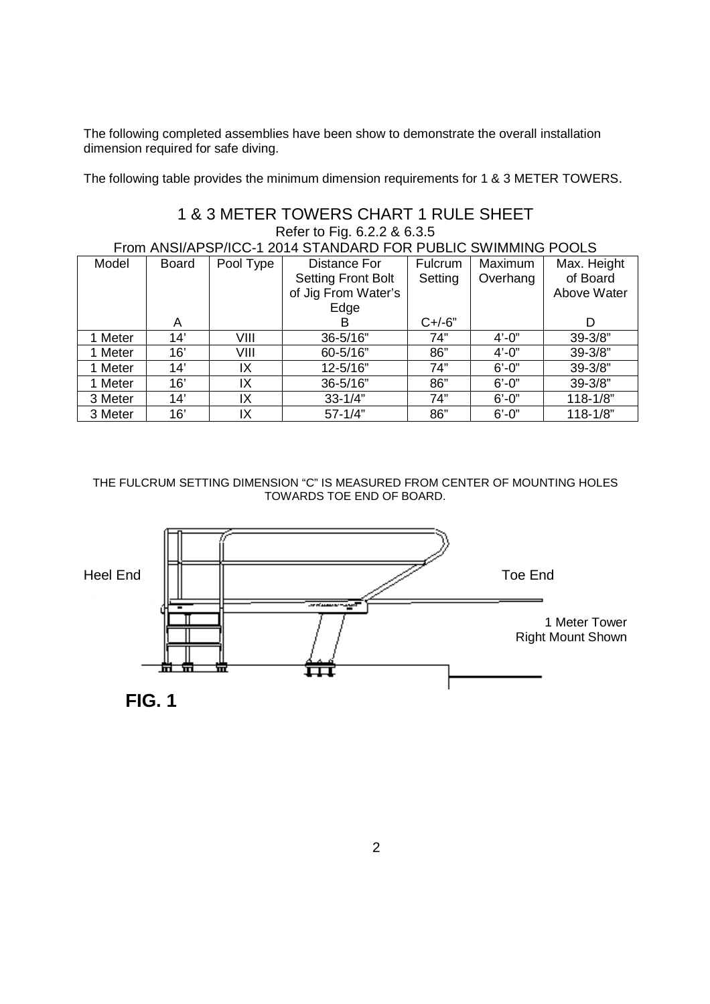The following completed assemblies have been show to demonstrate the overall installation dimension required for safe diving.

The following table provides the minimum dimension requirements for 1 & 3 METER TOWERS.

### 1 & 3 METER TOWERS CHART 1 RULE SHEET Refer to Fig. 6.2.2 & 6.3.5

From ANSI/APSP/ICC-1 2014 STANDARD FOR PUBLIC SWIMMING POOLS

| Model   | <b>Board</b> | Pool Type | Distance For              | Fulcrum    | Maximum    | Max. Height  |
|---------|--------------|-----------|---------------------------|------------|------------|--------------|
|         |              |           | <b>Setting Front Bolt</b> | Setting    | Overhang   | of Board     |
|         |              |           | of Jig From Water's       |            |            | Above Water  |
|         |              |           | Edge                      |            |            |              |
|         | A            |           | В                         | $C + (-6)$ |            | D            |
| 1 Meter | 14'          | VIII      | 36-5/16"                  | 74"        | $4' - 0''$ | $39 - 3/8"$  |
| 1 Meter | 16'          | VIII      | 60-5/16"                  | 86"        | $4' - 0''$ | $39 - 3/8"$  |
| 1 Meter | 14'          | ΙX        | 12-5/16"                  | 74"        | $6' - 0''$ | $39 - 3/8"$  |
| 1 Meter | 16'          | IX        | 36-5/16"                  | 86"        | $6' - 0''$ | $39 - 3/8"$  |
| 3 Meter | 14'          | IX        | $33 - 1/4"$               | 74"        | $6' - 0''$ | $118 - 1/8"$ |
| 3 Meter | 16'          | IΧ        | $57 - 1/4"$               | 86"        | $6' - 0''$ | $118 - 1/8"$ |

### THE FULCRUM SETTING DIMENSION "C" IS MEASURED FROM CENTER OF MOUNTING HOLES TOWARDS TOE END OF BOARD.



**FIG. 1**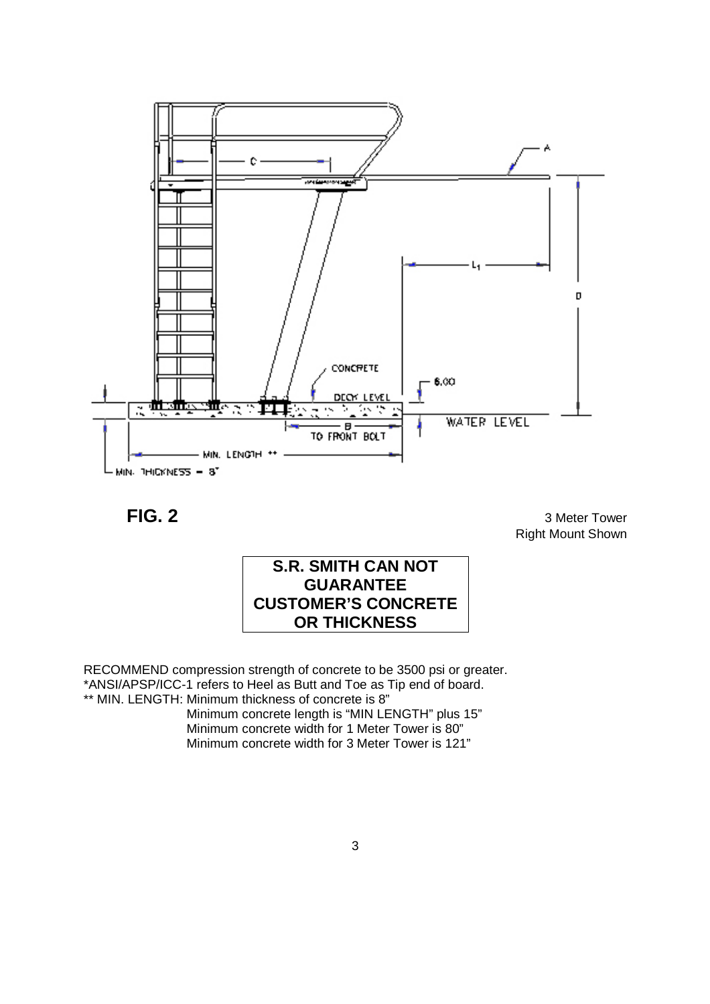

FIG. 2 3 Meter Tower Right Mount Shown



RECOMMEND compression strength of concrete to be 3500 psi or greater. \*ANSI/APSP/ICC-1 refers to Heel as Butt and Toe as Tip end of board. \*\* MIN. LENGTH: Minimum thickness of concrete is 8"

> Minimum concrete length is "MIN LENGTH" plus 15" Minimum concrete width for 1 Meter Tower is 80" Minimum concrete width for 3 Meter Tower is 121"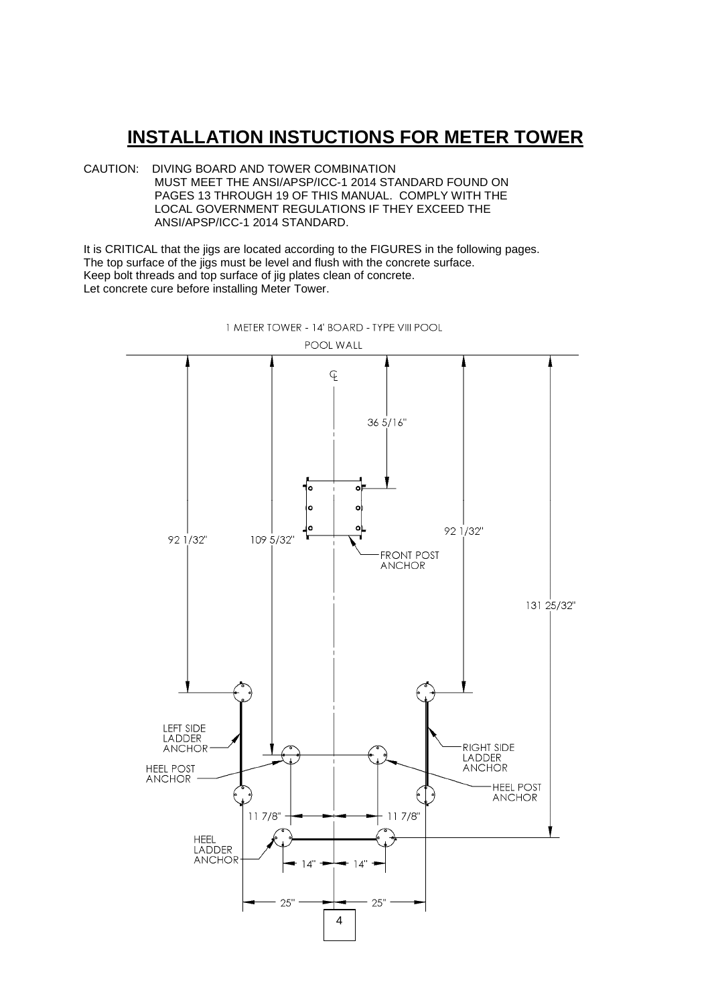### **INSTALLATION INSTUCTIONS FOR METER TOWER**

CAUTION: DIVING BOARD AND TOWER COMBINATION MUST MEET THE ANSI/APSP/ICC-1 2014 STANDARD FOUND ON PAGES 13 THROUGH 19 OF THIS MANUAL. COMPLY WITH THE LOCAL GOVERNMENT REGULATIONS IF THEY EXCEED THE ANSI/APSP/ICC-1 2014 STANDARD.

It is CRITICAL that the jigs are located according to the FIGURES in the following pages. The top surface of the jigs must be level and flush with the concrete surface. Keep bolt threads and top surface of jig plates clean of concrete. Let concrete cure before installing Meter Tower.



1 METER TOWER - 14' BOARD - TYPE VIII POOL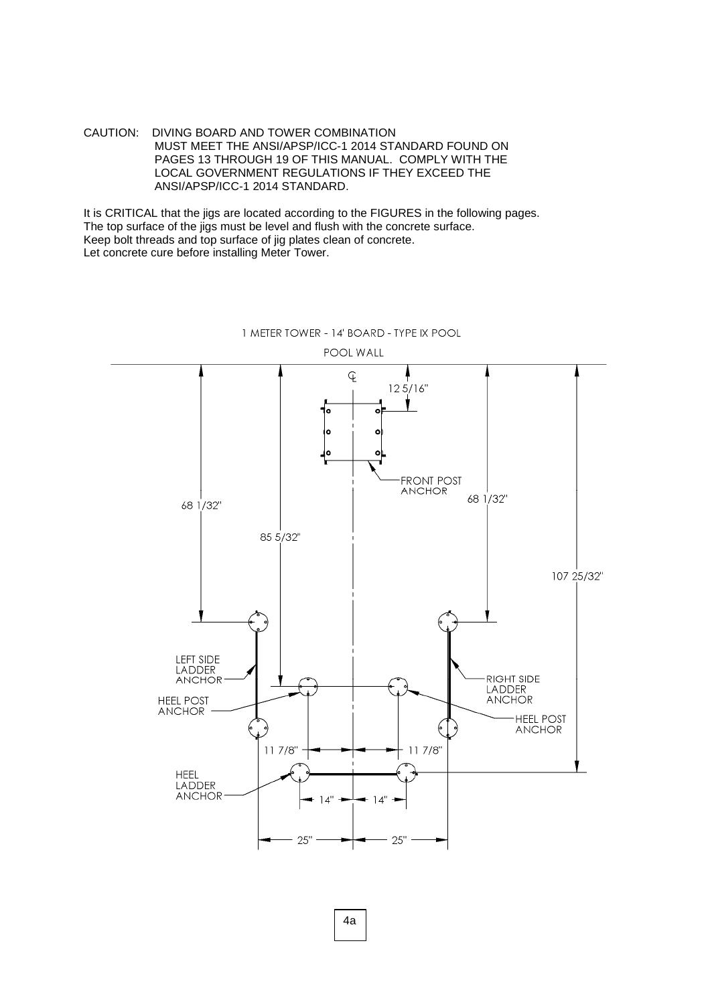It is CRITICAL that the jigs are located according to the FIGURES in the following pages. The top surface of the jigs must be level and flush with the concrete surface. Keep bolt threads and top surface of jig plates clean of concrete. Let concrete cure before installing Meter Tower.



1 METER TOWER - 14' BOARD - TYPE IX POOL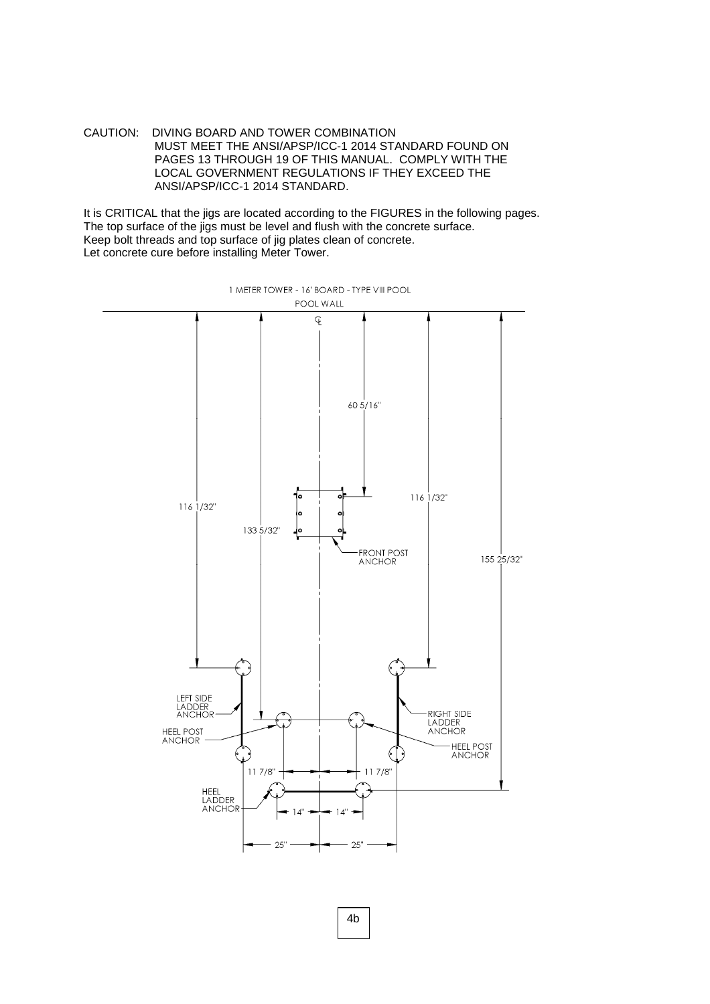It is CRITICAL that the jigs are located according to the FIGURES in the following pages. The top surface of the jigs must be level and flush with the concrete surface. Keep bolt threads and top surface of jig plates clean of concrete. Let concrete cure before installing Meter Tower.



4b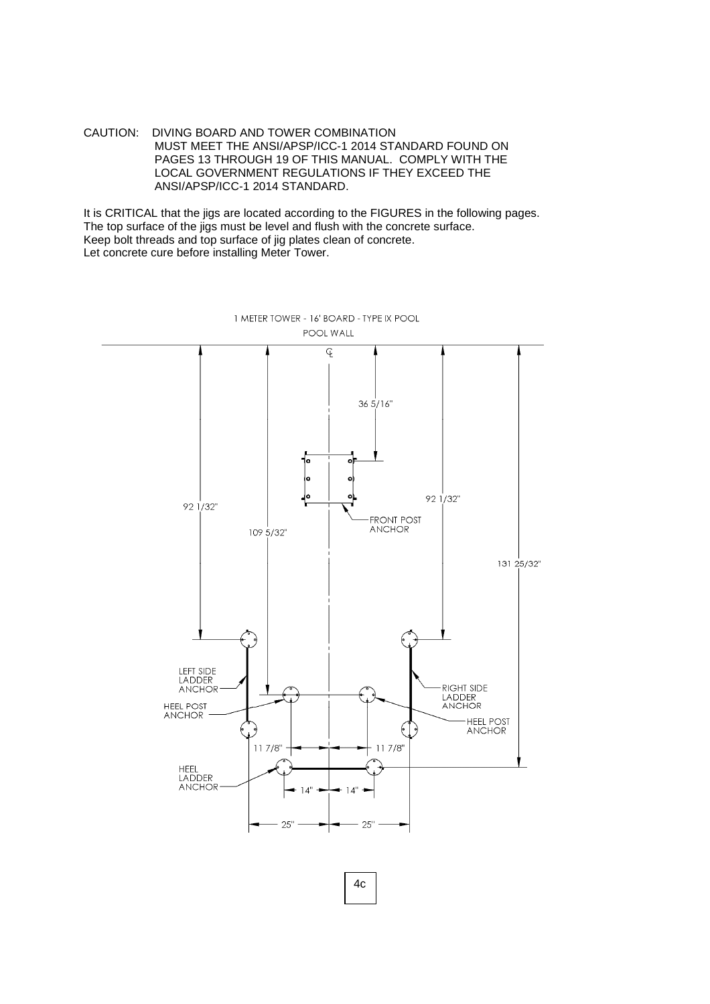It is CRITICAL that the jigs are located according to the FIGURES in the following pages. The top surface of the jigs must be level and flush with the concrete surface. Keep bolt threads and top surface of jig plates clean of concrete. Let concrete cure before installing Meter Tower.



1 METER TOWER - 16' BOARD - TYPE IX POOL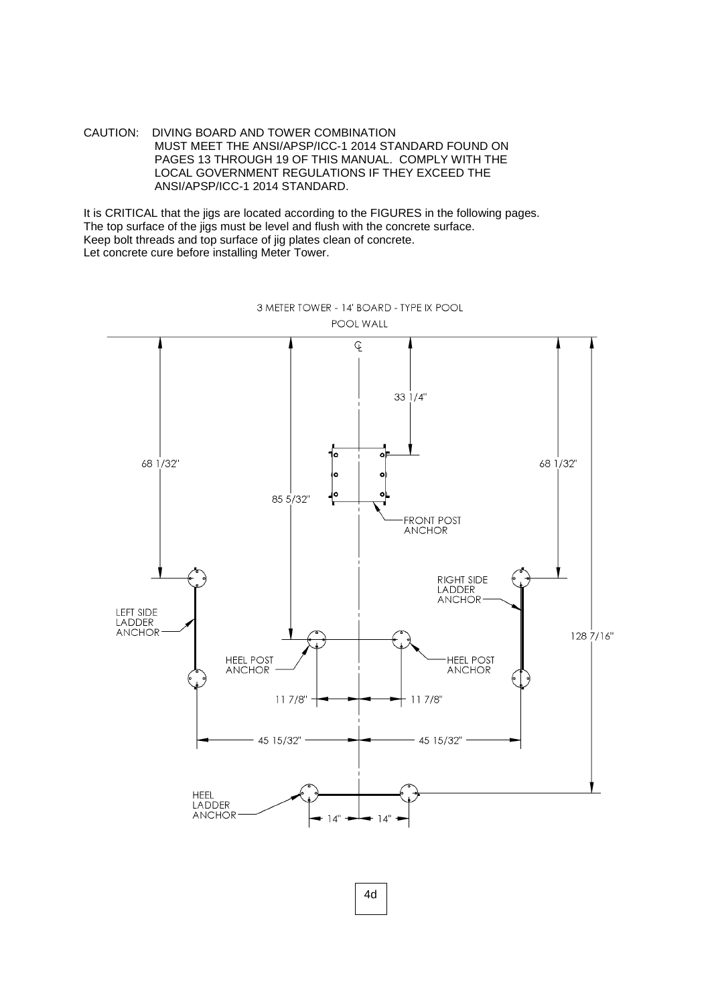It is CRITICAL that the jigs are located according to the FIGURES in the following pages. The top surface of the jigs must be level and flush with the concrete surface. Keep bolt threads and top surface of jig plates clean of concrete. Let concrete cure before installing Meter Tower.



3 METER TOWER - 14' BOARD - TYPE IX POOL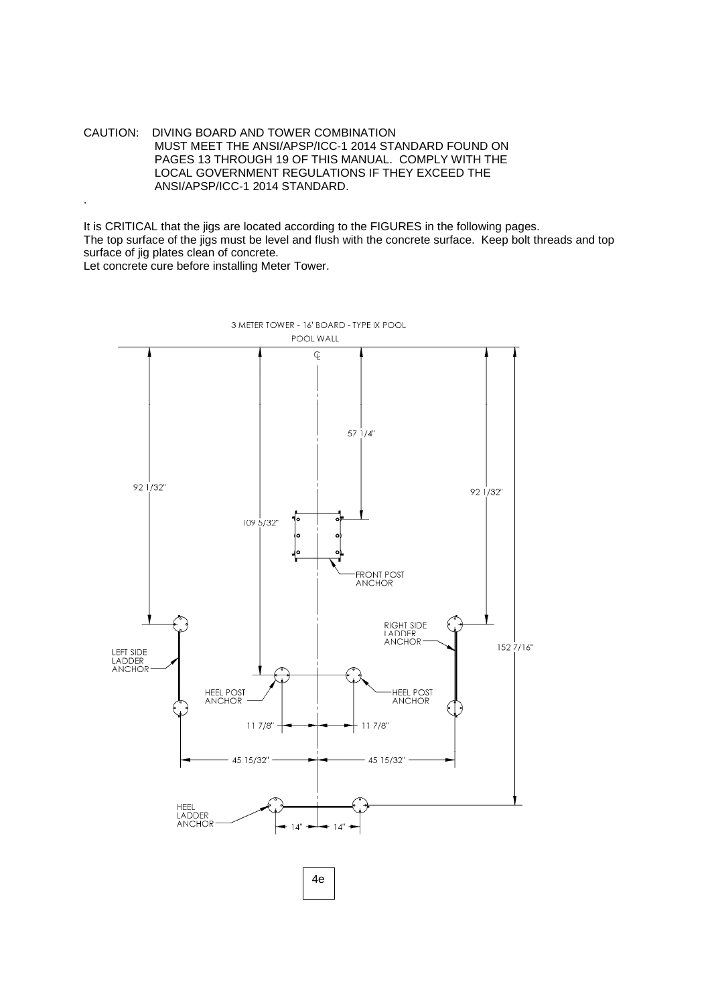.

It is CRITICAL that the jigs are located according to the FIGURES in the following pages. The top surface of the jigs must be level and flush with the concrete surface. Keep bolt threads and top surface of jig plates clean of concrete. Let concrete cure before installing Meter Tower.

3 METER TOWER - 16' BOARD - TYPE IX POOL POOL WALL q  $571/4"$  $92\frac{1}{32}$ 92 1/32" 109 5/32" FRONT POST<br>ANCHOR RIGHT SIDE<br>LADDER **ANCHOR**  $1527/16"$ LEFT SIDE<br>LADDER **ANCHOR** HEEL POST<br>ANCHOR HEEL POST  $117/8"$  $117/8$ " 45 15/32" 45 15/32" HEEL<br>LADDER<br>ANCHOR 4e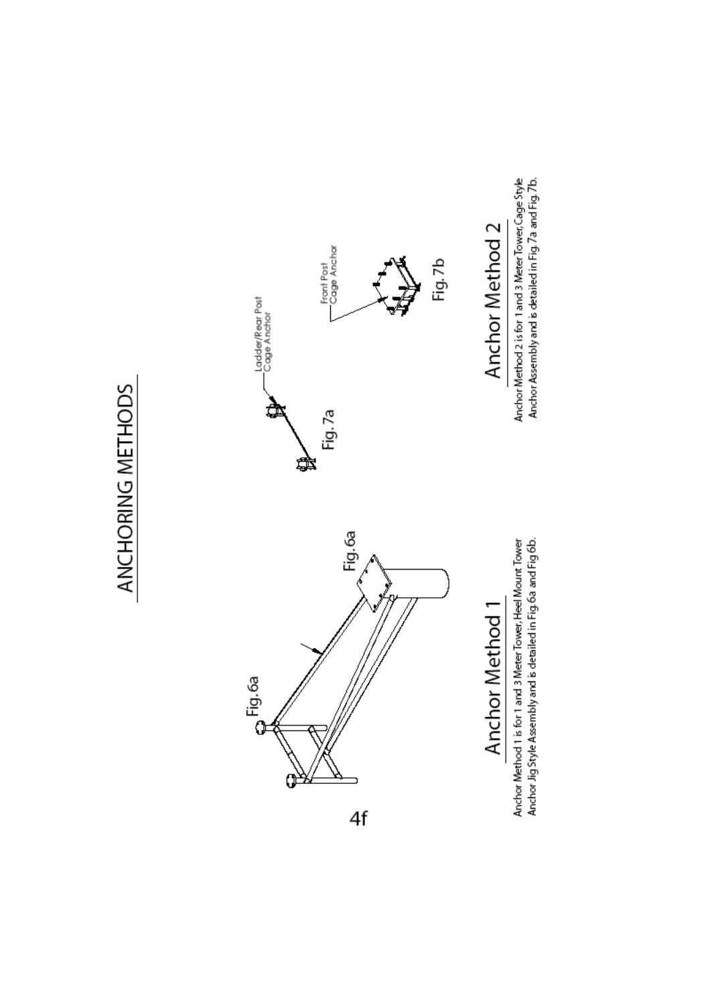# ANCHORING METHODS



Anchor Method 1 is for 1 and 3 Meter Tower, Heel Mount Tower<br>Anchor Jig Style Assembly and is detailed in Fig. 6a and Fig.6b.

Anchor Method 2 is for 1 and 3 Meter Tower, Cage Style<br>Anchor Assembly and is detailed in Fig. 7a and Fig. 7b.

 $4f$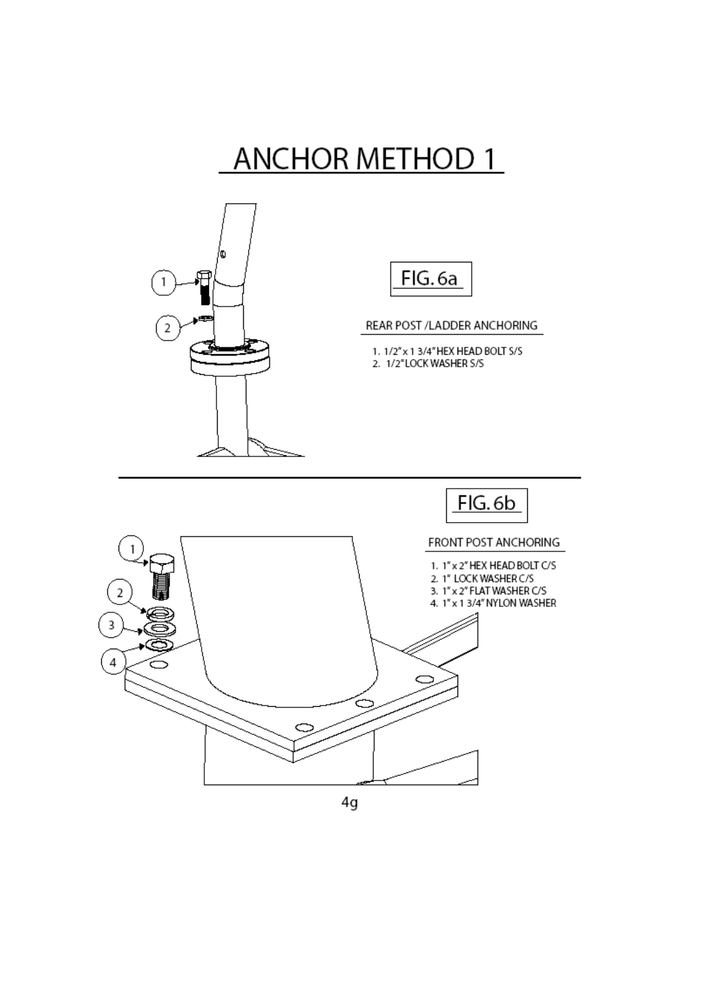## **ANCHOR METHOD 1**





### REAR POST / LADDER ANCHORING

1. 1/2" x 1 3/4" HEX HEAD BOLT S/S 2. 1/2"LOCK WASHER S/S

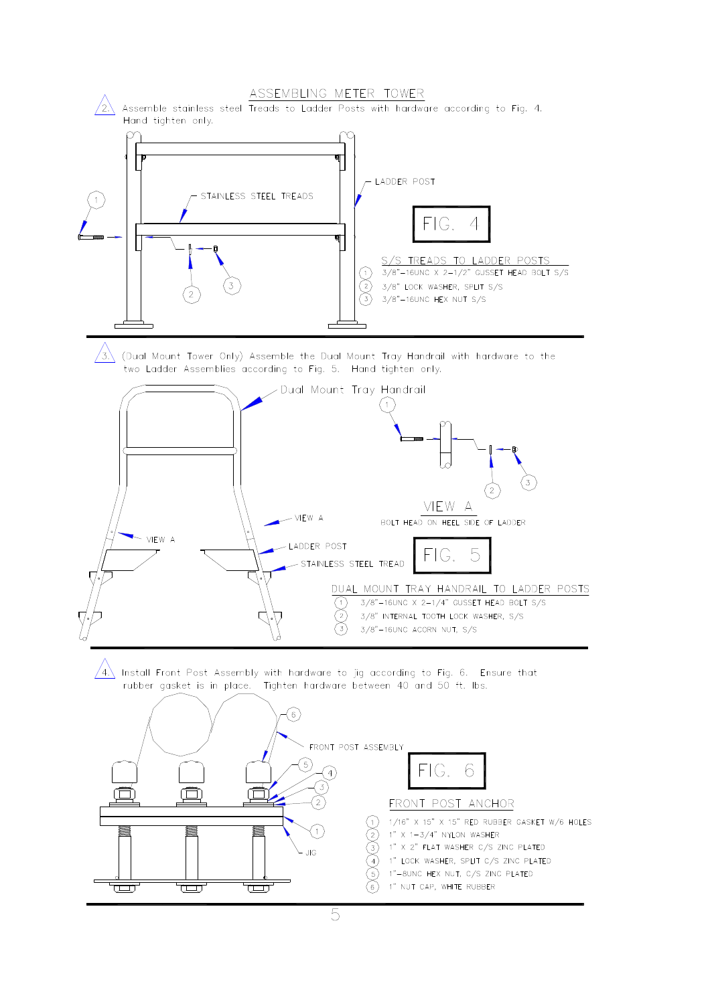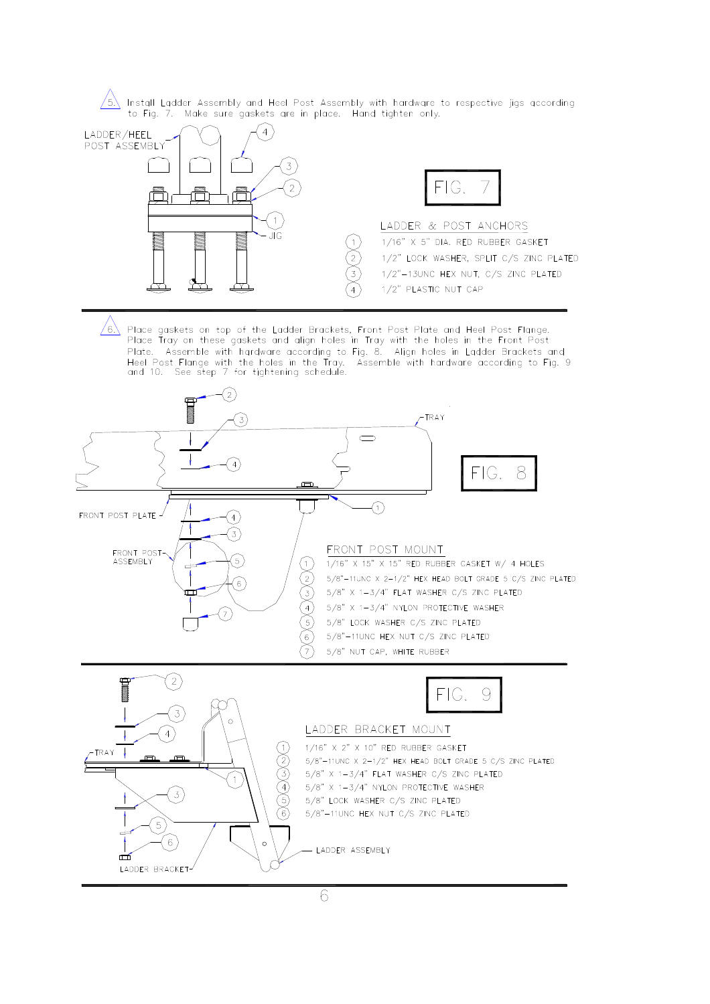$/5$ Install Ladder Assembly and Heel Post Assembly with hardware to respective jigs according to Fig. 7. Make sure gaskets are in place. Hand tighten only.



 $/$ 6 $\backslash$ Place gaskets on top of the Ladder Brackets, Front Post Plate and Heel Post Flange. Place Tray on these gaskets and align holes in Tray with the holes in the Front Post Plate. Assemble with hardware according to Fig. 8. Align holes in Ladder Brackets and Heel Post Flange with the holes in the Tray. By Assemble with hardware according to Fig. 9<br>and 10. See step 7 for tightening schedule.



6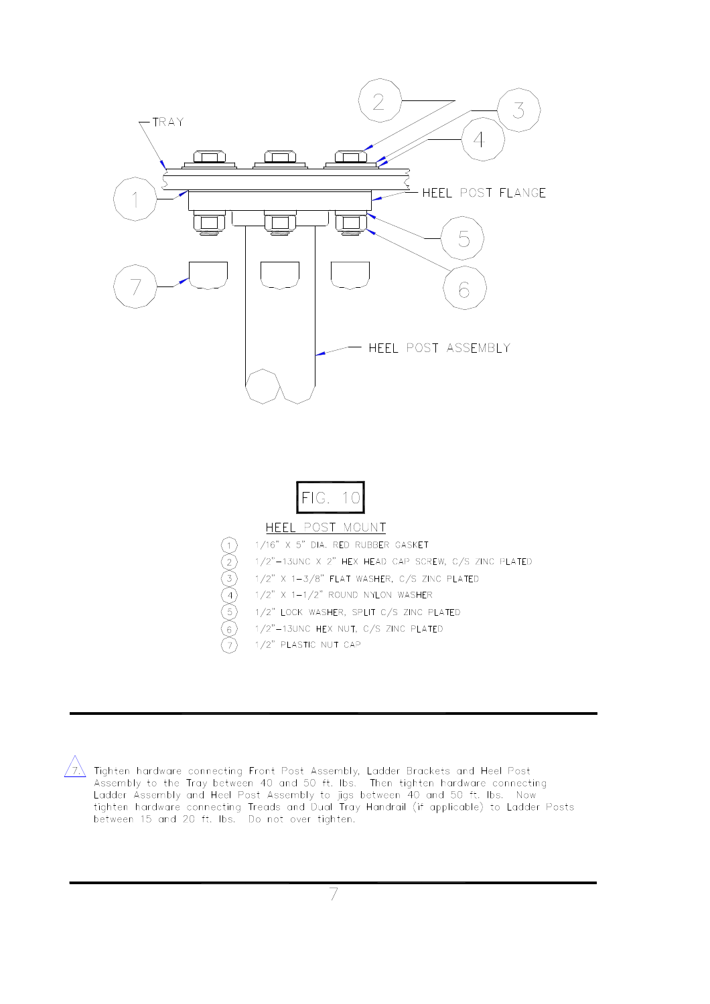



 $\sqrt{7}$ . Tighten hardware connecting Front Post Assembly, Ladder Brackets and Heel Post Assembly to the Tray between 40 and 50 ft. Ibs. Then tighten hardware connecting Ladder Assembly and Heel Post Assembly to jigs betwe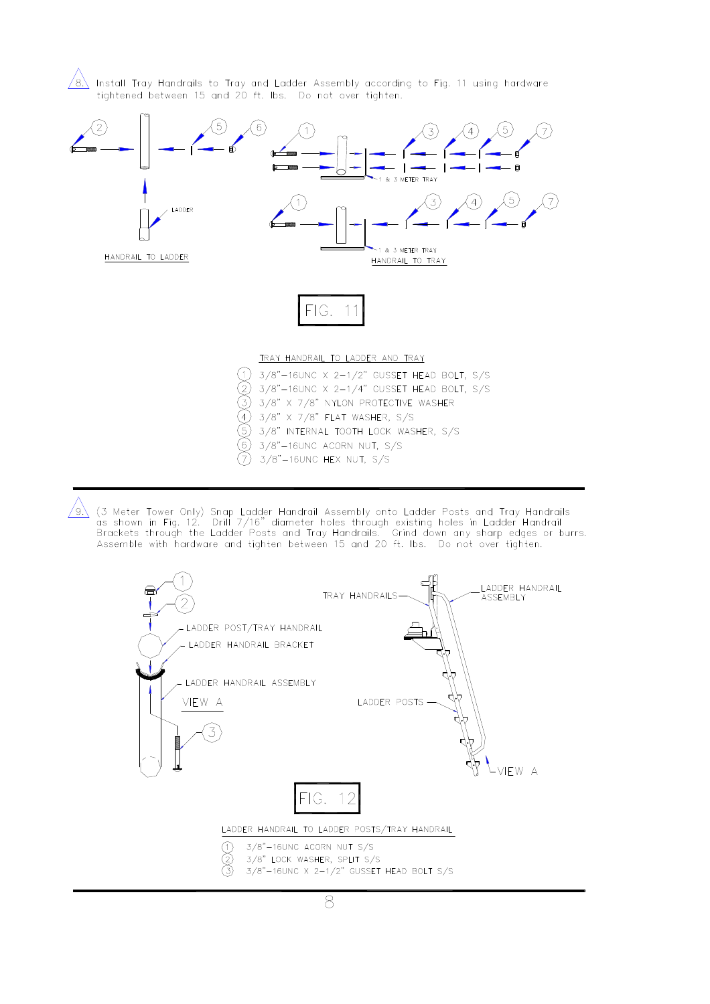$/8\backslash$  Install Tray Handrails to Tray and Ladder Assembly according to Fig. 11 using hardware tightened between 15 and 20 ft. Ibs. Do not over tighten.



 $\sqrt{9}$ . (3 Meter Tower Only) Snap Ladder Handrail Assembly onto Ladder Posts and Tray Handrails as shown in Fig. 12. Drill 7/16" diameter holes through existing holes in Ladder Handrail Brackets through the Ladder Posts

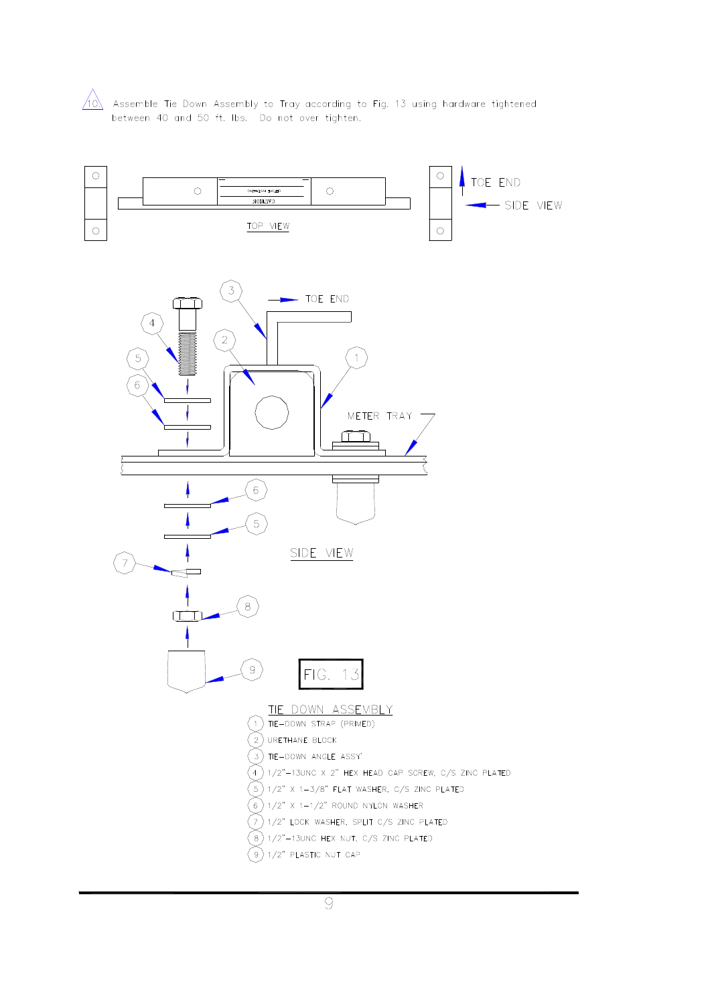

 $\sqrt{10}$ . Assemble Tie Down Assembly to Tray according to Fig. 13 using hardware tightened between 40 and 50 ft. Ibs. Do not over tighten.

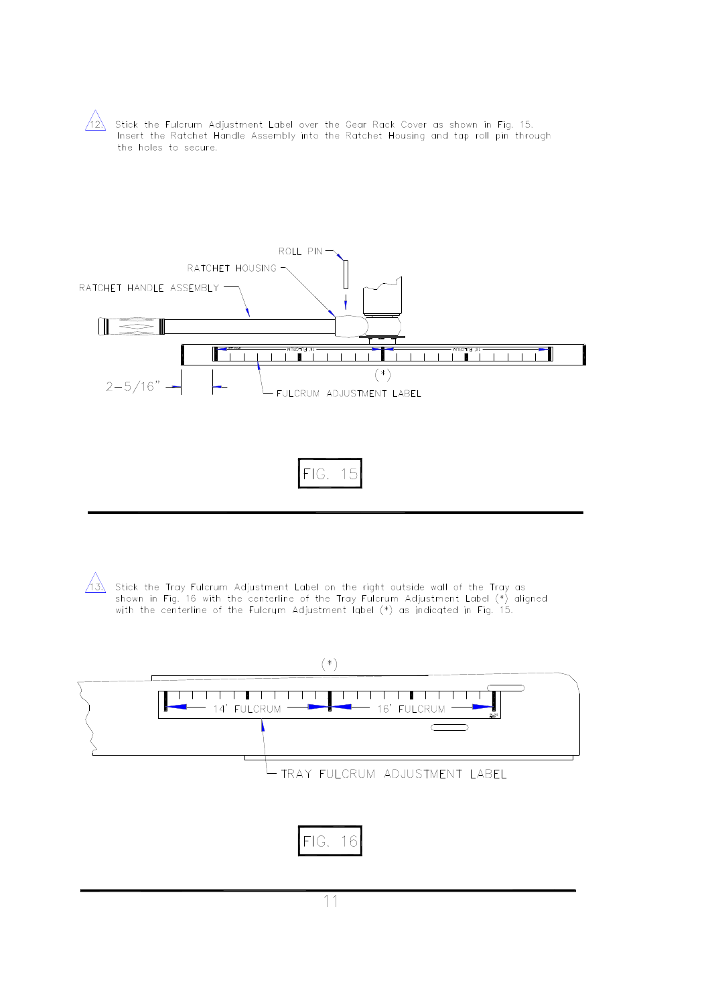$\sqrt{12}$  Stick the Fulcrum Adjustment Label over the Gear Rack Cover as shown in Fig. 15.<br>Insert the Ratchet Handle Assembly into the Ratchet Housing and tap roll pin through the holes to secure.



 $/ \lambda$ 

Stick the Tray Fulcrum Adjustment Label on the right outside wall of the Tray as<br>shown in Fig. 16 with the centerline of the Tray Fulcrum Adjustment Label (\*) aligned with the centerline of the Fulcrum Adjustment label (\*) as indicated in Fig. 15.

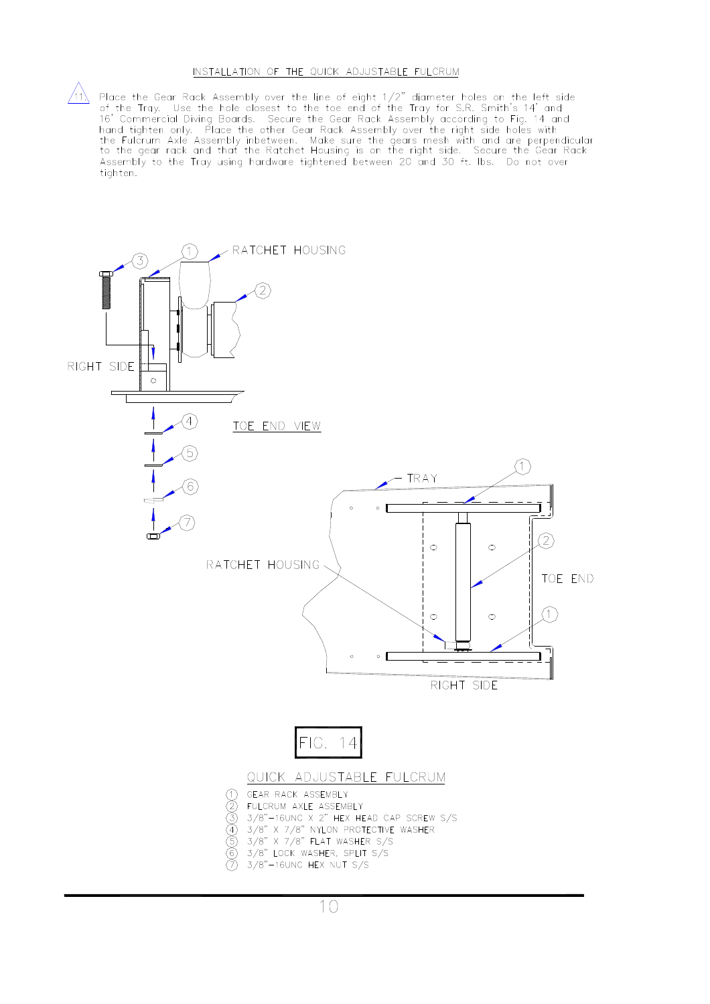### INSTALLATION OF THE QUICK ADJUSTABLE FULCRUM

The Place the Gear Rack Assembly over the line of eight  $1/2$ " diameter holes on the left side<br>of the Tray. Use the hole closest to the toe end of the Tray for S.R. Smith's 14' and<br>16' Commercial Diving Boards. Secure the the Fulcrum Axle Assembly inbetween. Make sure the gears mesh with and are perpendicular<br>to the gear rack and that the Ratchet Housing is on the right side. Secure the Gear Rack Assembly to the Tray using hardware tightened between 20 and 30 ft. Ibs. Do not over tighten.

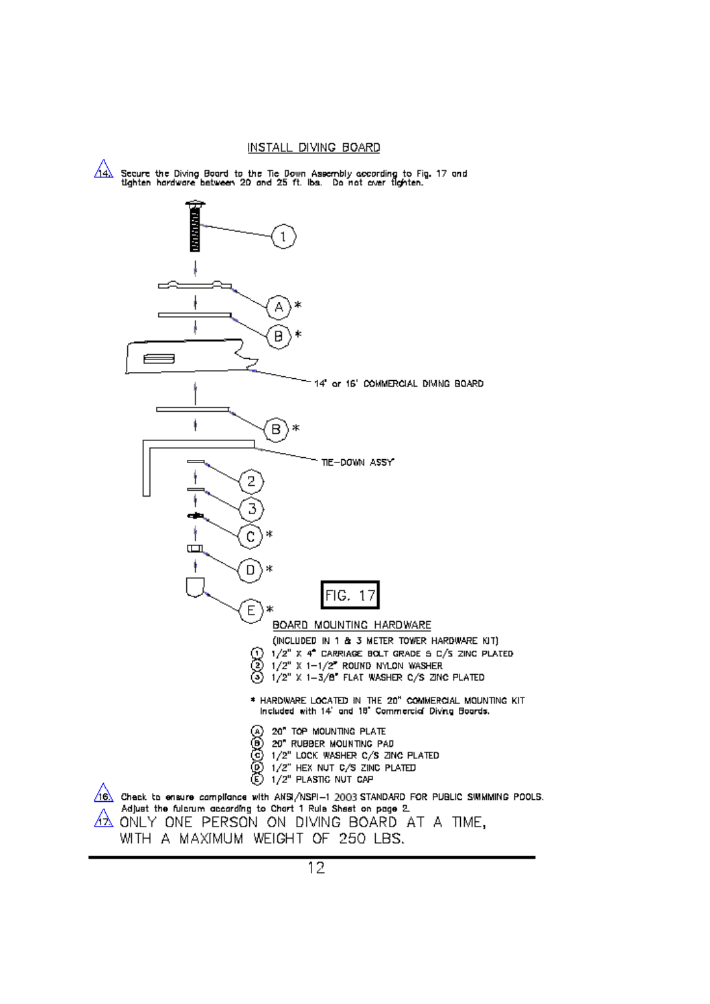### INSTALL DIVING BOARD

᠘ Secure the Diving Board to the Tie Down Assembly according to Fig. 17 and<br>tighten hardware between 20 and 25 ft. Ibs. Do not over tighten.

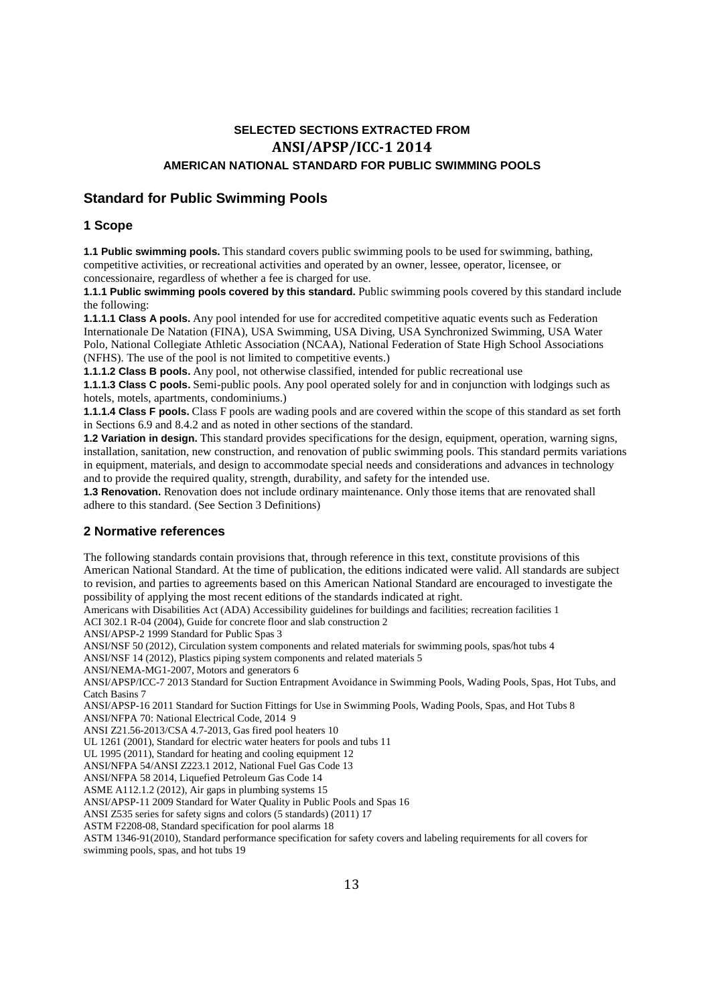### **SELECTED SECTIONS EXTRACTED FROM ANSI/APSP/ICC-1 2014 AMERICAN NATIONAL STANDARD FOR PUBLIC SWIMMING POOLS**

### **Standard for Public Swimming Pools**

### **1 Scope**

**1.1 Public swimming pools.** This standard covers public swimming pools to be used for swimming, bathing, competitive activities, or recreational activities and operated by an owner, lessee, operator, licensee, or concessionaire, regardless of whether a fee is charged for use.

**1.1.1 Public swimming pools covered by this standard.** Public swimming pools covered by this standard include the following:

**1.1.1.1 Class A pools.** Any pool intended for use for accredited competitive aquatic events such as Federation Internationale De Natation (FINA), USA Swimming, USA Diving, USA Synchronized Swimming, USA Water Polo, National Collegiate Athletic Association (NCAA), National Federation of State High School Associations (NFHS). The use of the pool is not limited to competitive events.)

**1.1.1.2 Class B pools.** Any pool, not otherwise classified, intended for public recreational use

**1.1.1.3 Class C pools.** Semi-public pools. Any pool operated solely for and in conjunction with lodgings such as hotels, motels, apartments, condominiums.)

**1.1.1.4 Class F pools.** Class F pools are wading pools and are covered within the scope of this standard as set forth in Sections 6.9 and 8.4.2 and as noted in other sections of the standard.

**1.2 Variation in design.** This standard provides specifications for the design, equipment, operation, warning signs, installation, sanitation, new construction, and renovation of public swimming pools. This standard permits variations in equipment, materials, and design to accommodate special needs and considerations and advances in technology and to provide the required quality, strength, durability, and safety for the intended use.

**1.3 Renovation.** Renovation does not include ordinary maintenance. Only those items that are renovated shall adhere to this standard. (See Section 3 Definitions)

### **2 Normative references**

The following standards contain provisions that, through reference in this text, constitute provisions of this American National Standard. At the time of publication, the editions indicated were valid. All standards are subject to revision, and parties to agreements based on this American National Standard are encouraged to investigate the possibility of applying the most recent editions of the standards indicated at right.

Americans with Disabilities Act (ADA) Accessibility guidelines for buildings and facilities; recreation facilities 1

ACI 302.1 R-04 (2004), Guide for concrete floor and slab construction 2

ANSI/APSP-2 1999 Standard for Public Spas 3

ANSI/NSF 50 (2012), Circulation system components and related materials for swimming pools, spas/hot tubs 4

ANSI/NSF 14 (2012), Plastics piping system components and related materials 5

ANSI/NEMA-MG1-2007, Motors and generators 6

ANSI/APSP/ICC-7 2013 Standard for Suction Entrapment Avoidance in Swimming Pools, Wading Pools, Spas, Hot Tubs, and Catch Basins 7

ANSI/APSP-16 2011 Standard for Suction Fittings for Use in Swimming Pools, Wading Pools, Spas, and Hot Tubs 8 ANSI/NFPA 70: National Electrical Code, 2014 9

ANSI Z21.56-2013/CSA 4.7-2013, Gas fired pool heaters 10

UL 1261 (2001), Standard for electric water heaters for pools and tubs 11

UL 1995 (2011), Standard for heating and cooling equipment 12

ANSI/NFPA 54/ANSI Z223.1 2012, National Fuel Gas Code 13

ANSI/NFPA 58 2014, Liquefied Petroleum Gas Code 14

ASME A112.1.2 (2012), Air gaps in plumbing systems 15

ANSI/APSP-11 2009 Standard for Water Quality in Public Pools and Spas 16

ANSI Z535 series for safety signs and colors (5 standards) (2011) 17

ASTM F2208-08, Standard specification for pool alarms 18

ASTM 1346-91(2010), Standard performance specification for safety covers and labeling requirements for all covers for swimming pools, spas, and hot tubs 19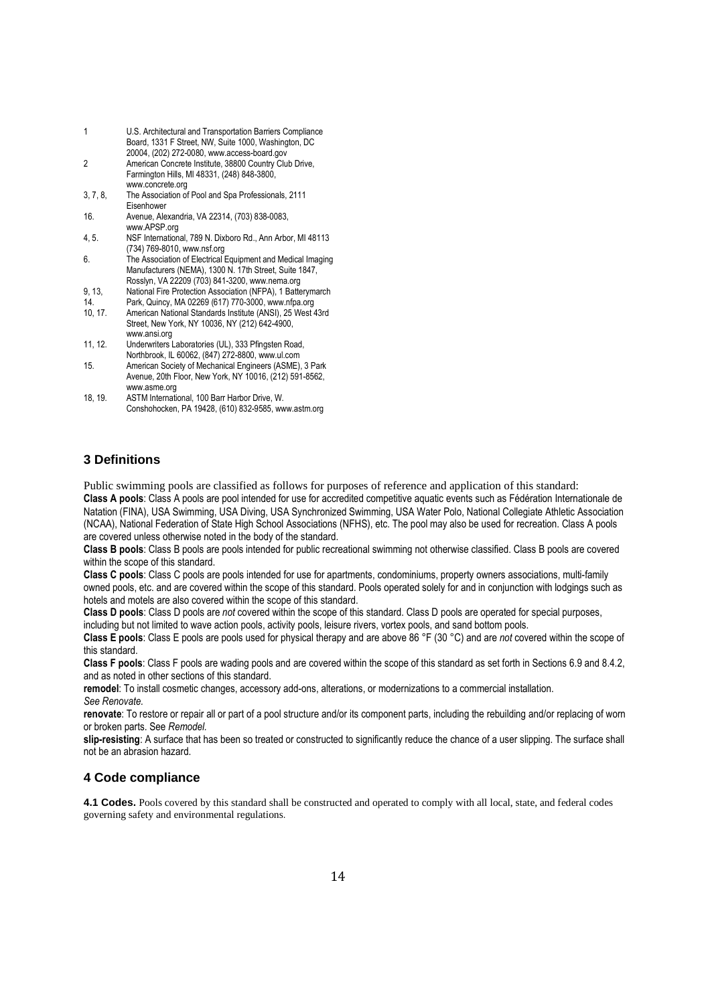|   | U.S. Architectural and Transportation Barriers Compliance<br>Board, 1331 F Street, NW, Suite 1000, Washington, DC |
|---|-------------------------------------------------------------------------------------------------------------------|
|   | 20004, (202) 272-0080, www.access-board.gov                                                                       |
| 2 | American Concrete Institute, 38800 Country Club Drive,                                                            |

Farmington Hills, MI 48331, (248) 848-3800, www.concrete.org

- 3, 7, 8, The Association of Pool and Spa Professionals, 2111 Eisenhower
- 16. Avenue, Alexandria, VA 22314, (703) 838-0083, www.APSP.org
- 4, 5. NSF International, 789 N. Dixboro Rd., Ann Arbor, MI 48113 (734) 769-8010, www.nsf.org
- 6. The Association of Electrical Equipment and Medical Imaging Manufacturers (NEMA), 1300 N. 17th Street, Suite 1847, Rosslyn, VA 22209 (703) 841-3200, www.nema.org
- 9, 13, National Fire Protection Association (NFPA), 1 Batterymarch
- 14. Park, Quincy, MA 02269 (617) 770-3000, www.nfpa.org
- 10, 17. American National Standards Institute (ANSI), 25 West 43rd Street, New York, NY 10036, NY (212) 642-4900, www.ansi.org
- 11, 12. Underwriters Laboratories (UL), 333 Pfingsten Road, Northbrook, IL 60062, (847) 272-8800, www.ul.com
- 15. American Society of Mechanical Engineers (ASME), 3 Park Avenue, 20th Floor, New York, NY 10016, (212) 591-8562, www.asme.org
- 18, 19. ASTM International, 100 Barr Harbor Drive, W. Conshohocken, PA 19428, (610) 832-9585, www.astm.org

### **3 Definitions**

Public swimming pools are classified as follows for purposes of reference and application of this standard: **Class A pools**: Class A pools are pool intended for use for accredited competitive aquatic events such as Fédération Internationale de Natation (FINA), USA Swimming, USA Diving, USA Synchronized Swimming, USA Water Polo, National Collegiate Athletic Association (NCAA), National Federation of State High School Associations (NFHS), etc. The pool may also be used for recreation. Class A pools are covered unless otherwise noted in the body of the standard.

**Class B pools**: Class B pools are pools intended for public recreational swimming not otherwise classified. Class B pools are covered within the scope of this standard.

**Class C pools**: Class C pools are pools intended for use for apartments, condominiums, property owners associations, multi-family owned pools, etc. and are covered within the scope of this standard. Pools operated solely for and in conjunction with lodgings such as hotels and motels are also covered within the scope of this standard.

**Class D pools**: Class D pools are *not* covered within the scope of this standard. Class D pools are operated for special purposes, including but not limited to wave action pools, activity pools, leisure rivers, vortex pools, and sand bottom pools.

**Class E pools**: Class E pools are pools used for physical therapy and are above 86 °F (30 °C) and are *not* covered within the scope of this standard.

**Class F pools**: Class F pools are wading pools and are covered within the scope of this standard as set forth in Sections 6.9 and 8.4.2, and as noted in other sections of this standard.

**remodel**: To install cosmetic changes, accessory add-ons, alterations, or modernizations to a commercial installation. *See Renovate.*

**renovate**: To restore or repair all or part of a pool structure and/or its component parts, including the rebuilding and/or replacing of worn or broken parts. See *Remodel.*

**slip-resisting**: A surface that has been so treated or constructed to significantly reduce the chance of a user slipping. The surface shall not be an abrasion hazard.

### **4 Code compliance**

**4.1 Codes.** Pools covered by this standard shall be constructed and operated to comply with all local, state, and federal codes governing safety and environmental regulations.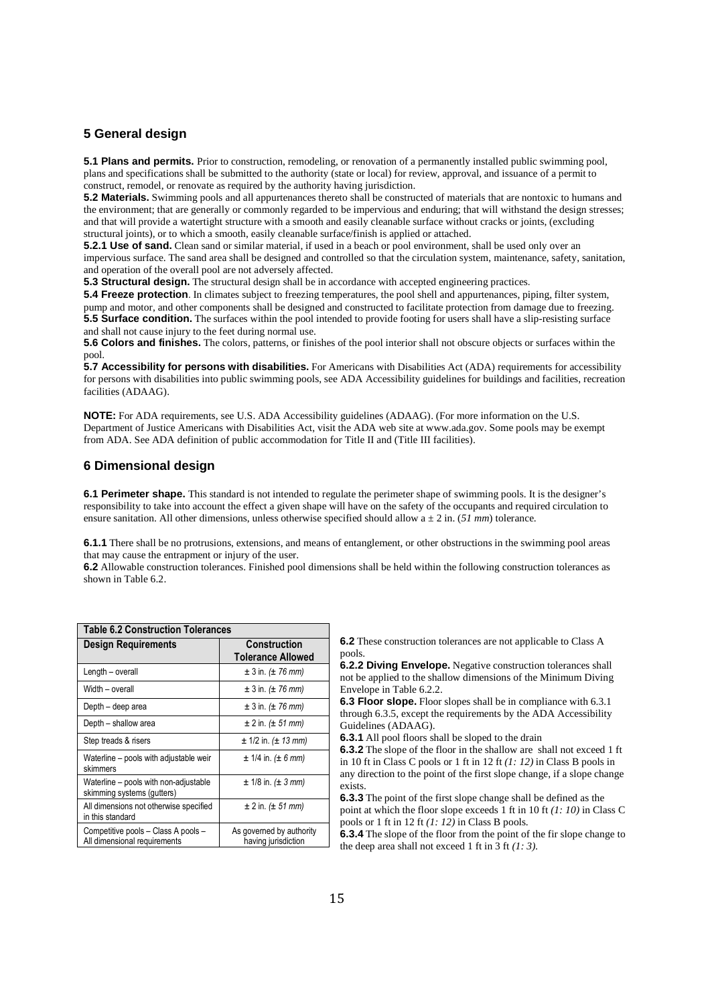### **5 General design**

**5.1 Plans and permits.** Prior to construction, remodeling, or renovation of a permanently installed public swimming pool, plans and specifications shall be submitted to the authority (state or local) for review, approval, and issuance of a permit to construct, remodel, or renovate as required by the authority having jurisdiction.

**5.2 Materials.** Swimming pools and all appurtenances thereto shall be constructed of materials that are nontoxic to humans and the environment; that are generally or commonly regarded to be impervious and enduring; that will withstand the design stresses; and that will provide a watertight structure with a smooth and easily cleanable surface without cracks or joints, (excluding structural joints), or to which a smooth, easily cleanable surface/finish is applied or attached.

**5.2.1 Use of sand.** Clean sand or similar material, if used in a beach or pool environment, shall be used only over an impervious surface. The sand area shall be designed and controlled so that the circulation system, maintenance, safety, sanitation, and operation of the overall pool are not adversely affected.

**5.3 Structural design.** The structural design shall be in accordance with accepted engineering practices.

**5.4 Freeze protection**. In climates subject to freezing temperatures, the pool shell and appurtenances, piping, filter system, pump and motor, and other components shall be designed and constructed to facilitate protection from damage due to freezing. **5.5 Surface condition.** The surfaces within the pool intended to provide footing for users shall have a slip-resisting surface and shall not cause injury to the feet during normal use.

**5.6 Colors and finishes.** The colors, patterns, or finishes of the pool interior shall not obscure objects or surfaces within the pool.

**5.7 Accessibility for persons with disabilities.** For Americans with Disabilities Act (ADA) requirements for accessibility for persons with disabilities into public swimming pools, see ADA Accessibility guidelines for buildings and facilities, recreation facilities (ADAAG).

**NOTE:** For ADA requirements, see U.S. ADA Accessibility guidelines (ADAAG). (For more information on the U.S. Department of Justice Americans with Disabilities Act, visit the ADA web site at www.ada.gov. Some pools may be exempt from ADA. See ADA definition of public accommodation for Title II and (Title III facilities).

### **6 Dimensional design**

**6.1 Perimeter shape.** This standard is not intended to regulate the perimeter shape of swimming pools. It is the designer's responsibility to take into account the effect a given shape will have on the safety of the occupants and required circulation to ensure sanitation. All other dimensions, unless otherwise specified should allow a ± 2 in. (*51 mm*) tolerance.

**6.1.1** There shall be no protrusions, extensions, and means of entanglement, or other obstructions in the swimming pool areas that may cause the entrapment or injury of the user.

**6.2** Allowable construction tolerances. Finished pool dimensions shall be held within the following construction tolerances as shown in Table 6.2.

| <b>Table 6.2 Construction Tolerances</b>                            |                                                 |  |  |  |
|---------------------------------------------------------------------|-------------------------------------------------|--|--|--|
| <b>Design Requirements</b>                                          | <b>Construction</b><br><b>Tolerance Allowed</b> |  |  |  |
| Length - overall                                                    | $\pm 3$ in. ( $\pm 76$ mm)                      |  |  |  |
| Width - overall                                                     | $\pm 3$ in. ( $\pm 76$ mm)                      |  |  |  |
| Depth – deep area                                                   | $\pm 3$ in. ( $\pm 76$ mm)                      |  |  |  |
| Depth – shallow area                                                | $\pm 2$ in. ( $\pm 51$ mm)                      |  |  |  |
| Step treads & risers                                                | $\pm$ 1/2 in. ( $\pm$ 13 mm)                    |  |  |  |
| Waterline - pools with adjustable weir<br>skimmers                  | $± 1/4$ in. $(± 6$ mm)                          |  |  |  |
| Waterline - pools with non-adjustable<br>skimming systems (gutters) | $± 1/8$ in. $(± 3$ mm)                          |  |  |  |
| All dimensions not otherwise specified<br>in this standard          | $\pm 2$ in. ( $\pm 51$ mm)                      |  |  |  |
| Competitive pools - Class A pools -<br>All dimensional requirements | As governed by authority<br>having jurisdiction |  |  |  |

**6.2** These construction tolerances are not applicable to Class A pools.

**6.2.2 Diving Envelope.** Negative construction tolerances shall not be applied to the shallow dimensions of the Minimum Diving Envelope in Table 6.2.2.

**6.3 Floor slope.** Floor slopes shall be in compliance with 6.3.1 through 6.3.5, except the requirements by the ADA Accessibility Guidelines (ADAAG).

**6.3.1** All pool floors shall be sloped to the drain

**6.3.2** The slope of the floor in the shallow are shall not exceed 1 ft in 10 ft in Class C pools or 1 ft in 12 ft *(1: 12)* in Class B pools in

any direction to the point of the first slope change, if a slope change exists.

**6.3.3** The point of the first slope change shall be defined as the point at which the floor slope exceeds 1 ft in 10 ft *(1: 10)* in Class C pools or 1 ft in 12 ft *(1: 12)* in Class B pools.

**6.3.4** The slope of the floor from the point of the fir slope change to the deep area shall not exceed 1 ft in 3 ft *(1: 3).*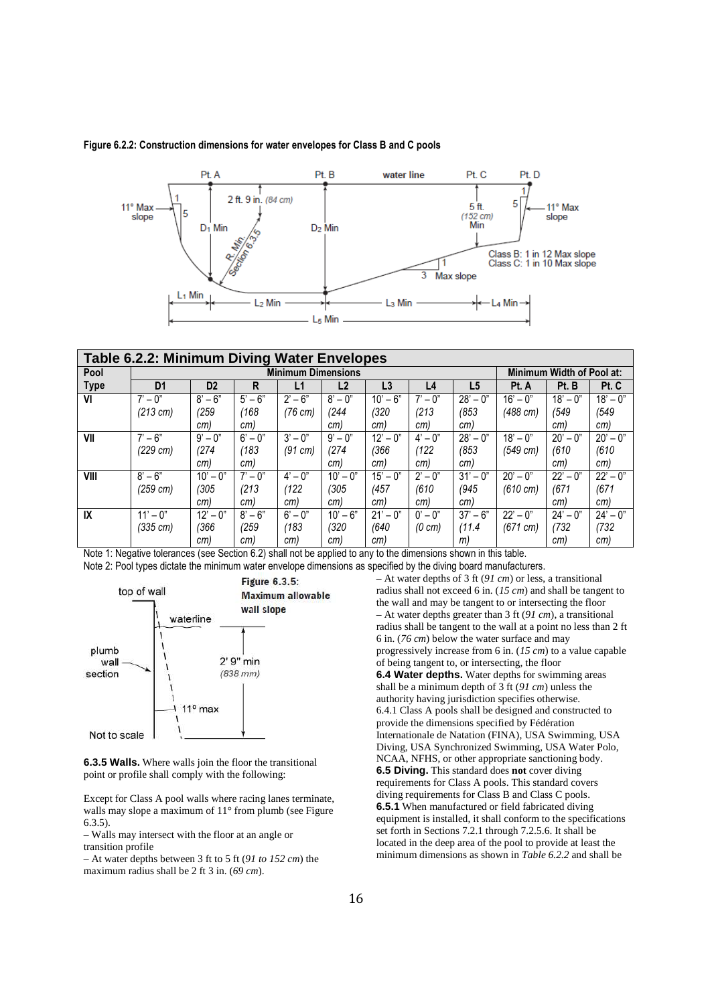

### **Figure 6.2.2: Construction dimensions for water envelopes for Class B and C pools**

| <b>Table 6.2.2: Minimum Diving Water Envelopes</b> |                           |                |            |                                 |                |             |                           |                |                    |                          |             |
|----------------------------------------------------|---------------------------|----------------|------------|---------------------------------|----------------|-------------|---------------------------|----------------|--------------------|--------------------------|-------------|
| Pool                                               | <b>Minimum Dimensions</b> |                |            |                                 |                |             | Minimum Width of Pool at: |                |                    |                          |             |
| Type                                               | D <sub>1</sub>            | D <sub>2</sub> | R          | L1                              | L <sub>2</sub> | L3          | L4                        | L <sub>5</sub> | Pt. A              | Pt. B                    | Pt. C       |
| VI                                                 | $7' - 0''$                | $8' - 6"$      | $5' - 6"$  | $2^{\prime} - 6^{\prime\prime}$ | $8' - 0''$     | $10' - 6"$  | $7' - 0''$                | $28 - 0$ "     | $16' - 0''$        | $18' - 0$ "              | $18' - 0$ " |
|                                                    | $(213 \text{ cm})$        | (259)          | (168)      | $(76 \text{ cm})$               | (244)          | (320        | (213                      | (853)          | (488 cm)           | (549                     | (549        |
|                                                    |                           | cm)            | cm)        |                                 | cm)            | cm)         | cm)                       | cm)            |                    | cm)                      | cm)         |
| VII                                                | $7' - 6''$                | $9' - 0''$     | $6' - 0''$ | $3' - 0''$                      | $9' - 0''$     | $12 - 0$ "  | $4' - 0''$                | $28 - 0$ "     | $18' - 0$ "        | $20' - 0''$              | $20' - 0''$ |
|                                                    | (229 cm)                  | (274)          | (183)      | $(91 \text{ cm})$               | (274)          | (366        | $^{\prime}$ 122           | (853)          | (549 cm)           | (610)                    | (610)       |
|                                                    |                           | cm)            | cm)        |                                 | cm)            | cm)         | cm)                       | cm)            |                    | cm)                      | cm)         |
| VIII                                               | $8' - 6"$                 | $10' - 0''$    | $7' - 0''$ | $4' - 0''$                      | $10' - 0''$    | $15' - 0''$ | $2^{7} - 0^{7}$           | $31' - 0''$    | $20' - 0''$        | $22^{\circ} - 0^{\circ}$ | $22 - 0$ "  |
|                                                    | $(259 \, \text{cm})$      | (305)          | (213)      | (122)                           | (305)          | (457        | (610)                     | (945)          | $(610 \text{ cm})$ | (671                     | (671        |
|                                                    |                           | cm)            | cm)        | cm)                             | cm)            | cm)         | cm)                       | cm)            |                    | cm)                      | cm)         |
| IX                                                 | $11' - 0''$               | $12 - 0$ "     | $8' - 6"$  | $6' - 0''$                      | $10' - 6"$     | $21' - 0''$ | $0' - 0''$                | $37' - 6''$    | $22 - 0$ "         | $24' - 0''$              | $24' - 0''$ |
|                                                    | (335 cm)                  | (366           | (259)      | (183)                           | (320)          | (640        | $(0 \text{ cm})$          | (11.4)         | $(671 \text{ cm})$ | (732)                    | (732)       |
|                                                    |                           | cm)            | cm)        | cm)                             | cm)            | cm)         |                           | m)             |                    | cm)                      | cm)         |

Note 1: Negative tolerances (see Section 6.2) shall not be applied to any to the dimensions shown in this table. Note 2: Pool types dictate the minimum water envelope dimensions as specified by the diving board manufacturers.



**6.3.5 Walls.** Where walls join the floor the transitional point or profile shall comply with the following:

Except for Class A pool walls where racing lanes terminate, walls may slope a maximum of 11° from plumb (see Figure 6.3.5).

– Walls may intersect with the floor at an angle or transition profile

– At water depths between 3 ft to 5 ft (*91 to 152 cm*) the maximum radius shall be 2 ft 3 in. (*69 cm*).

– At water depths of 3 ft (*91 cm*) or less, a transitional radius shall not exceed 6 in. (*15 cm*) and shall be tangent to the wall and may be tangent to or intersecting the floor – At water depths greater than 3 ft (*91 cm*), a transitional radius shall be tangent to the wall at a point no less than 2 ft 6 in. (*76 cm*) below the water surface and may progressively increase from 6 in. (*15 cm*) to a value capable of being tangent to, or intersecting, the floor **6.4 Water depths.** Water depths for swimming areas shall be a minimum depth of 3 ft (*91 cm*) unless the authority having jurisdiction specifies otherwise. 6.4.1 Class A pools shall be designed and constructed to provide the dimensions specified by Fédération Internationale de Natation (FINA), USA Swimming, USA Diving, USA Synchronized Swimming, USA Water Polo, NCAA, NFHS, or other appropriate sanctioning body. **6.5 Diving.** This standard does **not** cover diving requirements for Class A pools. This standard covers diving requirements for Class B and Class C pools. **6.5.1** When manufactured or field fabricated diving equipment is installed, it shall conform to the specifications set forth in Sections 7.2.1 through 7.2.5.6. It shall be located in the deep area of the pool to provide at least the minimum dimensions as shown in *Table 6.2.2* and shall be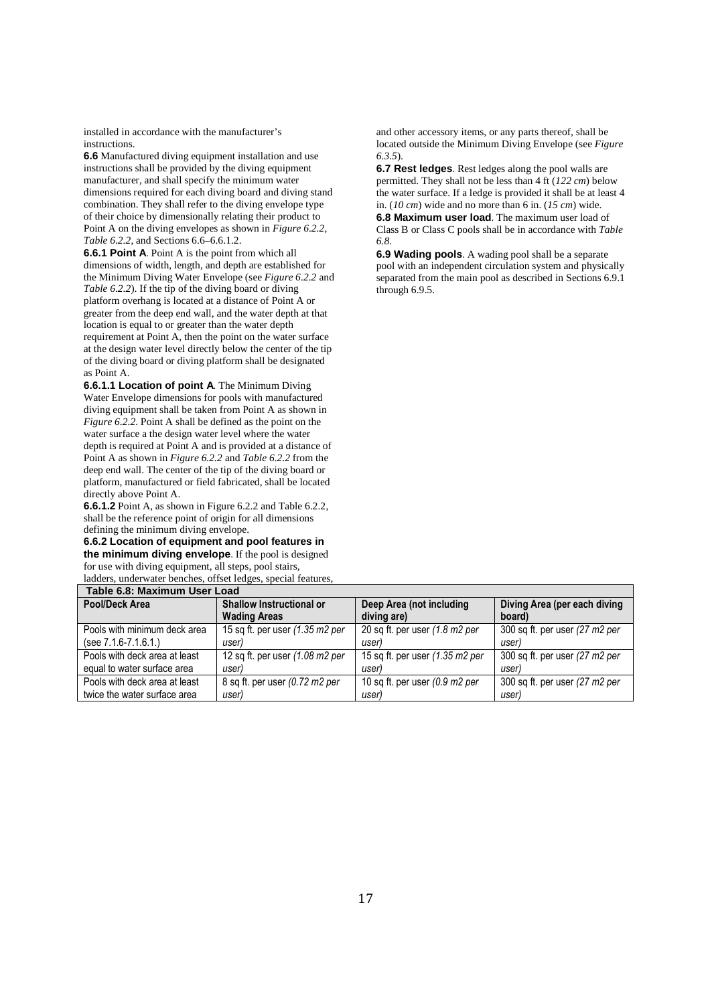installed in accordance with the manufacturer's instructions.

**6.6** Manufactured diving equipment installation and use instructions shall be provided by the diving equipment manufacturer, and shall specify the minimum water dimensions required for each diving board and diving stand combination. They shall refer to the diving envelope type of their choice by dimensionally relating their product to Point A on the diving envelopes as shown in *Figure 6.2.2*, *Table 6.2.2*, and Sections 6.6–6.6.1.2.

**6.6.1 Point A**. Point A is the point from which all dimensions of width, length, and depth are established for the Minimum Diving Water Envelope (see *Figure 6.2.2* and *Table 6.2.2*). If the tip of the diving board or diving platform overhang is located at a distance of Point A or greater from the deep end wall, and the water depth at that location is equal to or greater than the water depth requirement at Point A, then the point on the water surface at the design water level directly below the center of the tip of the diving board or diving platform shall be designated as Point A.

**6.6.1.1 Location of point A**. The Minimum Diving Water Envelope dimensions for pools with manufactured diving equipment shall be taken from Point A as shown in *Figure 6.2.2.* Point A shall be defined as the point on the water surface a the design water level where the water depth is required at Point A and is provided at a distance of Point A as shown in *Figure 6.2.2* and *Table 6.2.2* from the deep end wall. The center of the tip of the diving board or platform, manufactured or field fabricated, shall be located directly above Point A.

**6.6.1.2** Point A, as shown in Figure 6.2.2 and Table 6.2.2, shall be the reference point of origin for all dimensions defining the minimum diving envelope.

**6.6.2 Location of equipment and pool features in the minimum diving envelope**. If the pool is designed for use with diving equipment, all steps, pool stairs, ladders, underwater benches, offset ledges, special features,

and other accessory items, or any parts thereof, shall be located outside the Minimum Diving Envelope (see *Figure 6.3.5*).

**6.7 Rest ledges**. Rest ledges along the pool walls are permitted. They shall not be less than 4 ft (*122 cm*) below the water surface. If a ledge is provided it shall be at least 4 in. (*10 cm*) wide and no more than 6 in. (*15 cm*) wide.

**6.8 Maximum user load**. The maximum user load of Class B or Class C pools shall be in accordance with *Table 6.8*.

**6.9 Wading pools**. A wading pool shall be a separate pool with an independent circulation system and physically separated from the main pool as described in Sections 6.9.1 through 6.9.5.

| Table 6.8: Maximum User Load                      |                                            |                                           |                                |  |  |  |
|---------------------------------------------------|--------------------------------------------|-------------------------------------------|--------------------------------|--|--|--|
| Pool/Deck Area<br><b>Shallow Instructional or</b> |                                            | Deep Area (not including                  | Diving Area (per each diving   |  |  |  |
|                                                   | <b>Wading Areas</b>                        | diving are)                               | board)                         |  |  |  |
| Pools with minimum deck area                      | 15 sq ft. per user (1.35 m2 per            | 20 sq ft. per user (1.8 m2 per            | 300 sq ft. per user (27 m2 per |  |  |  |
| $(see 7.1.6-7.1.6.1.)$                            | user)                                      | user)                                     | user)                          |  |  |  |
| Pools with deck area at least                     | 12 sq ft. per user $(1.08 \text{ m2 per})$ | 15 sq ft. per user (1.35 m2 per           | 300 sq ft. per user (27 m2 per |  |  |  |
| equal to water surface area                       | userl                                      | user)                                     | userl                          |  |  |  |
| Pools with deck area at least                     | 8 sq ft. per user (0.72 m2 per             | 10 sq ft. per user $(0.9 \text{ m2 per})$ | 300 sq ft. per user (27 m2 per |  |  |  |
| twice the water surface area                      | user)                                      | user)                                     | user)                          |  |  |  |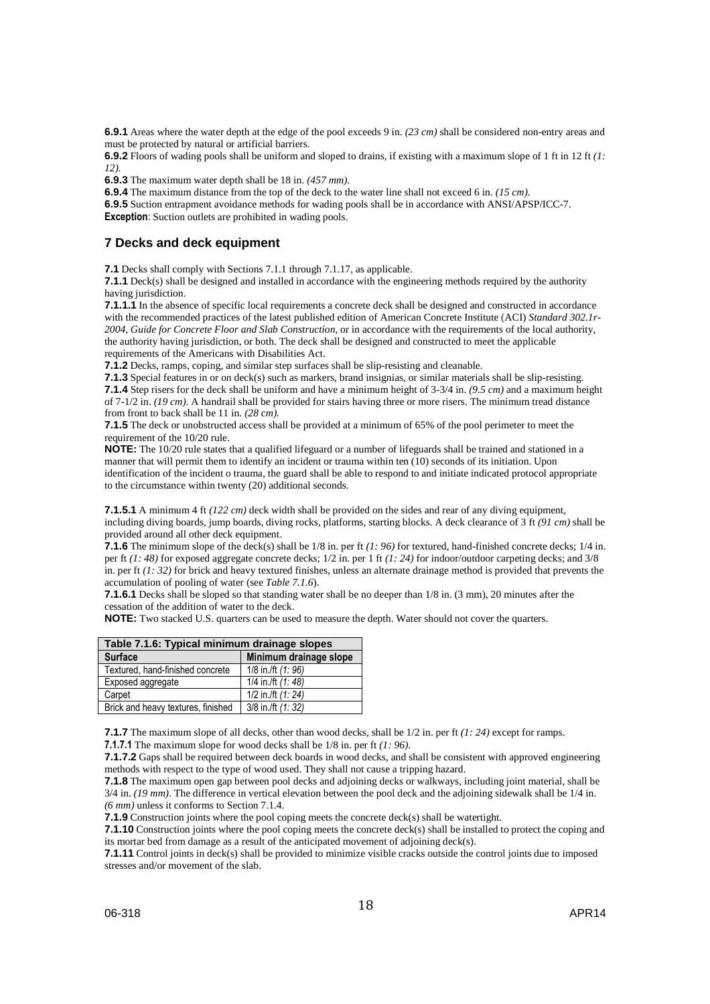**6.9.1** Areas where the water depth at the edge of the pool exceeds 9 in. *(23 cm)* shall be considered non-entry areas and must be protected by natural or artificial barriers.

**6.9.2** Floors of wading pools shall be uniform and sloped to drains, if existing with a maximum slope of 1 ft in 12 ft *(1: 12).*

**6.9.3** The maximum water depth shall be 18 in. *(457 mm).*

**6.9.4** The maximum distance from the top of the deck to the water line shall not exceed 6 in. *(15 cm).*

**6.9.5** Suction entrapment avoidance methods for wading pools shall be in accordance with ANSI/APSP/ICC-7.

**Exception**: Suction outlets are prohibited in wading pools.

### **7 Decks and deck equipment**

**7.1** Decks shall comply with Sections 7.1.1 through 7.1.17, as applicable.

**7.1.1** Deck(s) shall be designed and installed in accordance with the engineering methods required by the authority having jurisdiction.

**7.1.1.1** In the absence of specific local requirements a concrete deck shall be designed and constructed in accordance with the recommended practices of the latest published edition of American Concrete Institute (ACI) *Standard 302.1r-2004, Guide for Concrete Floor and Slab Construction*, or in accordance with the requirements of the local authority, the authority having jurisdiction, or both. The deck shall be designed and constructed to meet the applicable requirements of the Americans with Disabilities Act.

**7.1.2** Decks, ramps, coping, and similar step surfaces shall be slip-resisting and cleanable.

**7.1.3** Special features in or on deck(s) such as markers, brand insignias, or similar materials shall be slip-resisting. **7.1.4** Step risers for the deck shall be uniform and have a minimum height of 3-3/4 in. *(9.5 cm)* and a maximum height of 7-1/2 in. *(19 cm)*. A handrail shall be provided for stairs having three or more risers. The minimum tread distance from front to back shall be 11 in. *(28 cm).*

**7.1.5** The deck or unobstructed access shall be provided at a minimum of 65% of the pool perimeter to meet the requirement of the 10/20 rule.

**NOTE:** The 10/20 rule states that a qualified lifeguard or a number of lifeguards shall be trained and stationed in a manner that will permit them to identify an incident or trauma within ten (10) seconds of its initiation. Upon identification of the incident o trauma, the guard shall be able to respond to and initiate indicated protocol appropriate to the circumstance within twenty (20) additional seconds.

**7.1.5.1** A minimum 4 ft *(122 cm)* deck width shall be provided on the sides and rear of any diving equipment, including diving boards, jump boards, diving rocks, platforms, starting blocks. A deck clearance of 3 ft *(91 cm)* shall be provided around all other deck equipment.

**7.1.6** The minimum slope of the deck(s) shall be 1/8 in. per ft (1: 96) for textured, hand-finished concrete decks; 1/4 in. per ft *(1: 48)* for exposed aggregate concrete decks; 1/2 in. per 1 ft *(1: 24)* for indoor/outdoor carpeting decks; and 3/8 in. per ft *(1: 32)* for brick and heavy textured finishes, unless an alternate drainage method is provided that prevents the accumulation of pooling of water (see *Table 7.1.6*).

**7.1.6.1** Decks shall be sloped so that standing water shall be no deeper than  $1/8$  in. (3 mm), 20 minutes after the cessation of the addition of water to the deck.

**NOTE:** Two stacked U.S. quarters can be used to measure the depth. Water should not cover the quarters.

| Table 7.1.6: Typical minimum drainage slopes |                        |  |  |  |
|----------------------------------------------|------------------------|--|--|--|
| <b>Surface</b>                               | Minimum drainage slope |  |  |  |
| Textured, hand-finished concrete             | 1/8 in./ft $(1:96)$    |  |  |  |
| Exposed aggregate                            | 1/4 in /ft $(1:48)$    |  |  |  |
| Carpet                                       | 1/2 in./ft (1: 24)     |  |  |  |
| Brick and heavy textures, finished           | $3/8$ in./ft $(1:32)$  |  |  |  |

**7.1.7** The maximum slope of all decks, other than wood decks, shall be  $1/2$  in. per ft *(1: 24)* except for ramps. **7.1.7.1** The maximum slope for wood decks shall be 1/8 in. per ft *(1: 96)*.

**7.1.7.2** Gaps shall be required between deck boards in wood decks, and shall be consistent with approved engineering methods with respect to the type of wood used. They shall not cause a tripping hazard.

**7.1.8** The maximum open gap between pool decks and adjoining decks or walkways, including joint material, shall be 3/4 in. *(19 mm)*. The difference in vertical elevation between the pool deck and the adjoining sidewalk shall be 1/4 in. *(6 mm)* unless it conforms to Section 7.1.4.

**7.1.9** Construction joints where the pool coping meets the concrete deck(s) shall be watertight.

**7.1.10** Construction joints where the pool coping meets the concrete deck(s) shall be installed to protect the coping and its mortar bed from damage as a result of the anticipated movement of adjoining deck(s).

**7.1.11** Control joints in deck(s) shall be provided to minimize visible cracks outside the control joints due to imposed stresses and/or movement of the slab.